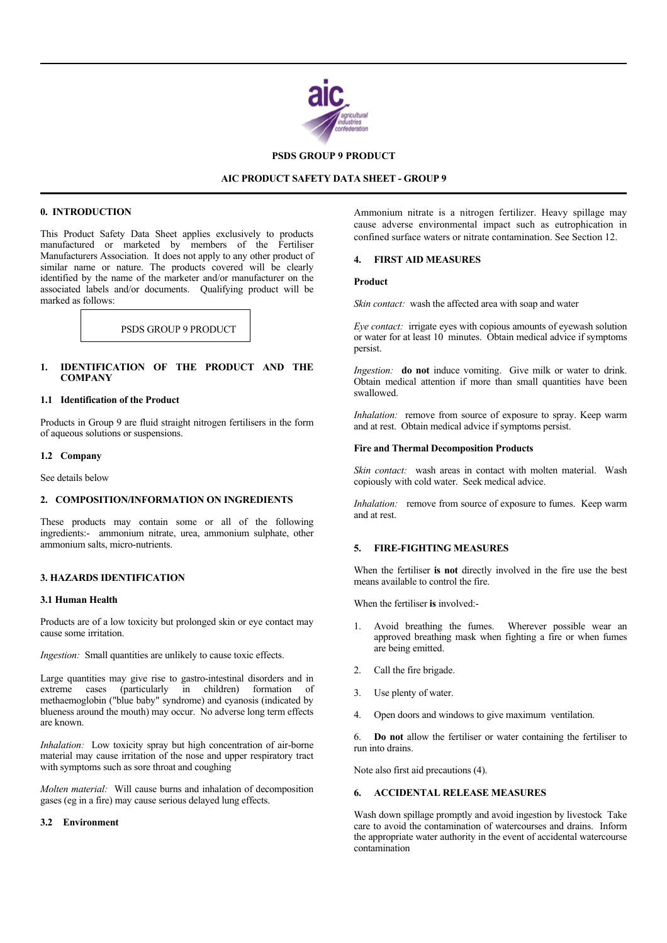

### **PSDS GROUP 9 PRODUCT**

### **AIC PRODUCT SAFETY DATA SHEET - GROUP 9**

### **0. INTRODUCTION**

l

֦

This Product Safety Data Sheet applies exclusively to products manufactured or marketed by members of the Fertiliser Manufacturers Association. It does not apply to any other product of similar name or nature. The products covered will be clearly identified by the name of the marketer and/or manufacturer on the associated labels and/or documents. Qualifying product will be marked as follows:

### **1. IDENTIFICATION OF THE PRODUCT AND THE COMPANY**

#### **1.1 Identification of the Product**

Products in Group 9 are fluid straight nitrogen fertilisers in the form of aqueous solutions or suspensions.

#### **1.2 Company**

See details below

#### **2. COMPOSITION/INFORMATION ON INGREDIENTS**

These products may contain some or all of the following ingredients:- ammonium nitrate, urea, ammonium sulphate, other ammonium salts, micro-nutrients.

# **3. HAZARDS IDENTIFICATION**

#### **3.1 Human Health**

Products are of a low toxicity but prolonged skin or eye contact may cause some irritation.

*Ingestion:* Small quantities are unlikely to cause toxic effects.

Large quantities may give rise to gastro-intestinal disorders and in extreme cases (particularly in children) formation of  $cases$  (particularly in children) formation of methaemoglobin ("blue baby" syndrome) and cyanosis (indicated by blueness around the mouth) may occur. No adverse long term effects are known.

*Inhalation:* Low toxicity spray but high concentration of air-borne material may cause irritation of the nose and upper respiratory tract with symptoms such as sore throat and coughing

*Molten material:* Will cause burns and inhalation of decomposition gases (eg in a fire) may cause serious delayed lung effects.

#### **3.2 Environment**

Ammonium nitrate is a nitrogen fertilizer. Heavy spillage may cause adverse environmental impact such as eutrophication in confined surface waters or nitrate contamination. See Section 12.

#### **4. FIRST AID MEASURES**

#### **Product**

*Skin contact:* wash the affected area with soap and water

PSDS GROUP 9 PRODUCT **Eye contact:** irrigate eyes with copious amounts of eyewash solution or water for at least 10 minutes. Obtain medical advice if symptoms persist.

> *Ingestion:* **do not** induce vomiting. Give milk or water to drink. Obtain medical attention if more than small quantities have been swallowed.

> *Inhalation:* remove from source of exposure to spray. Keep warm and at rest. Obtain medical advice if symptoms persist.

### **Fire and Thermal Decomposition Products**

*Skin contact:* wash areas in contact with molten material. Wash copiously with cold water. Seek medical advice.

*Inhalation:* remove from source of exposure to fumes. Keep warm and at rest.

### **5. FIRE-FIGHTING MEASURES**

When the fertiliser **is not** directly involved in the fire use the best means available to control the fire.

When the fertiliser **is** involved:-

- Avoid breathing the fumes. Wherever possible wear an approved breathing mask when fighting a fire or when fumes are being emitted.
- 2. Call the fire brigade.
- 3. Use plenty of water.
- 4. Open doors and windows to give maximum ventilation.

6. **Do not** allow the fertiliser or water containing the fertiliser to run into drains.

Note also first aid precautions (4).

## **6. ACCIDENTAL RELEASE MEASURES**

Wash down spillage promptly and avoid ingestion by livestock Take care to avoid the contamination of watercourses and drains. Inform the appropriate water authority in the event of accidental watercourse contamination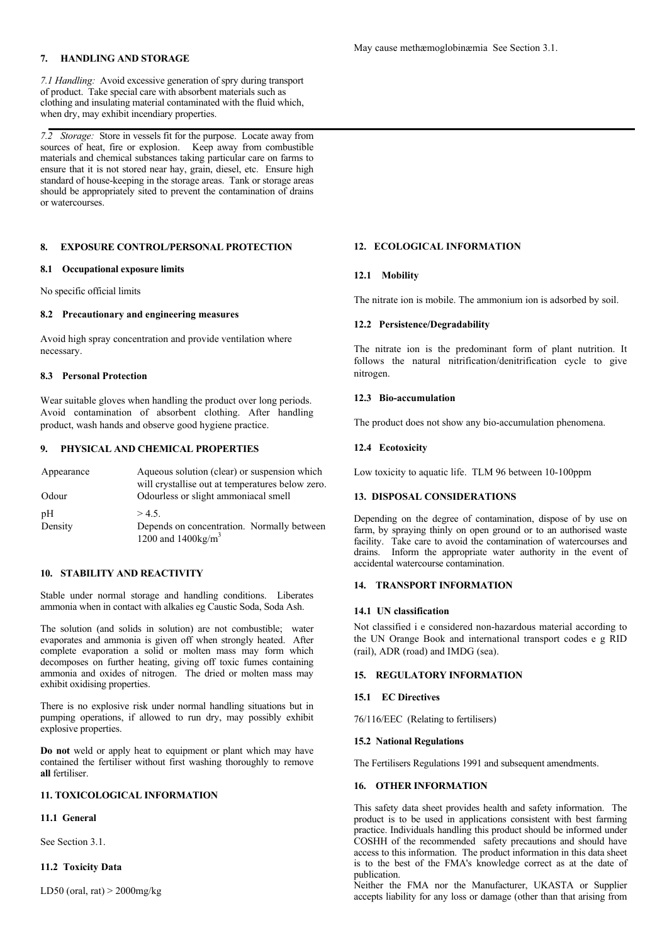## **7. HANDLING AND STORAGE**

*7.1 Handling:* Avoid excessive generation of spry during transport of product. Take special care with absorbent materials such as clothing and insulating material contaminated with the fluid which, when dry, may exhibit incendiary properties.

*7.2 Storage:* Store in vessels fit for the purpose. Locate away from sources of heat, fire or explosion. Keep away from combustible materials and chemical substances taking particular care on farms to ensure that it is not stored near hay, grain, diesel, etc. Ensure high standard of house-keeping in the storage areas. Tank or storage areas should be appropriately sited to prevent the contamination of drains or watercourses.

## **8. EXPOSURE CONTROL/PERSONAL PROTECTION**

#### **8.1 Occupational exposure limits**

No specific official limits

# **8.2 Precautionary and engineering measures**

Avoid high spray concentration and provide ventilation where necessary.

### **8.3 Personal Protection**

Wear suitable gloves when handling the product over long periods. Avoid contamination of absorbent clothing. After handling product, wash hands and observe good hygiene practice.

## **9. PHYSICAL AND CHEMICAL PROPERTIES**

| Appearance | Aqueous solution (clear) or suspension which<br>will crystallise out at temperatures below zero. |
|------------|--------------------------------------------------------------------------------------------------|
| Odour      | Odourless or slight ammoniacal smell                                                             |
| pΗ         | > 4.5                                                                                            |
| Density    | Depends on concentration. Normally between                                                       |
|            | 1200 and $1400 \text{kg/m}^3$                                                                    |

# **10. STABILITY AND REACTIVITY**

Stable under normal storage and handling conditions. Liberates ammonia when in contact with alkalies eg Caustic Soda, Soda Ash.

The solution (and solids in solution) are not combustible; water evaporates and ammonia is given off when strongly heated. After complete evaporation a solid or molten mass may form which decomposes on further heating, giving off toxic fumes containing ammonia and oxides of nitrogen. The dried or molten mass may exhibit oxidising properties.

There is no explosive risk under normal handling situations but in pumping operations, if allowed to run dry, may possibly exhibit explosive properties.

**Do not** weld or apply heat to equipment or plant which may have contained the fertiliser without first washing thoroughly to remove **all** fertiliser.

## **11. TOXICOLOGICAL INFORMATION**

## **11.1 General**

See Section 3.1.

## **11.2 Toxicity Data**

LD50 (oral, rat)  $>$  2000mg/kg

### **12. ECOLOGICAL INFORMATION**

### **12.1 Mobility**

The nitrate ion is mobile. The ammonium ion is adsorbed by soil.

### **12.2 Persistence/Degradability**

The nitrate ion is the predominant form of plant nutrition. It follows the natural nitrification/denitrification cycle to give nitrogen.

### **12.3 Bio-accumulation**

The product does not show any bio-accumulation phenomena.

## **12.4 Ecotoxicity**

Low toxicity to aquatic life. TLM 96 between 10-100ppm

## **13. DISPOSAL CONSIDERATIONS**

Depending on the degree of contamination, dispose of by use on farm, by spraying thinly on open ground or to an authorised waste facility. Take care to avoid the contamination of watercourses and drains. Inform the appropriate water authority in the event of accidental watercourse contamination.

#### **14. TRANSPORT INFORMATION**

## **14.1 UN classification**

Not classified i e considered non-hazardous material according to the UN Orange Book and international transport codes e g RID (rail), ADR (road) and IMDG (sea).

#### **15. REGULATORY INFORMATION**

#### **15.1 EC Directives**

76/116/EEC (Relating to fertilisers)

#### **15.2 National Regulations**

The Fertilisers Regulations 1991 and subsequent amendments.

## **16. OTHER INFORMATION**

This safety data sheet provides health and safety information. The product is to be used in applications consistent with best farming practice. Individuals handling this product should be informed under COSHH of the recommended safety precautions and should have access to this information. The product information in this data sheet is to the best of the FMA's knowledge correct as at the date of publication.

Neither the FMA nor the Manufacturer, UKASTA or Supplier accepts liability for any loss or damage (other than that arising from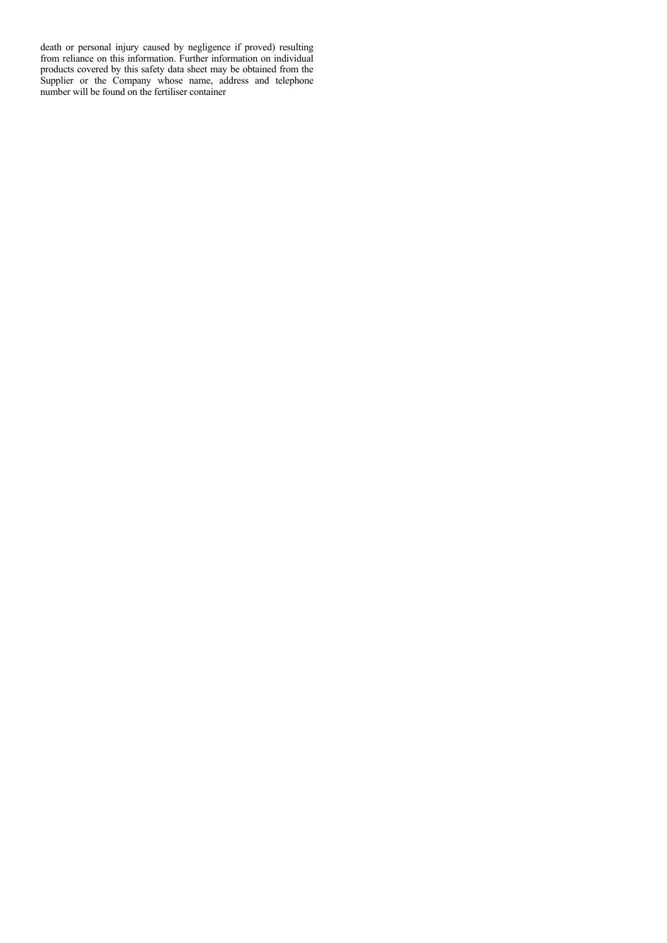death or personal injury caused by negligence if proved) resulting from reliance on this information. Further information on individual products covered by this safety data sheet may be obtained from the Supplier or the Company whose name, address and telephone number will be found on the fertiliser container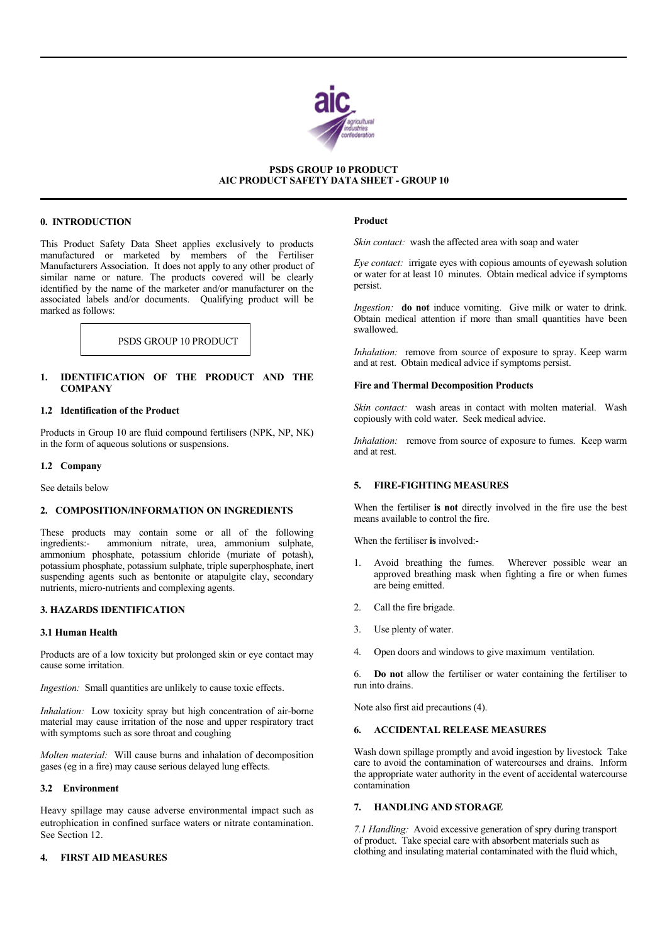

## **PSDS GROUP 10 PRODUCT AIC PRODUCT SAFETY DATA SHEET - GROUP 10**

### **0. INTRODUCTION**

I

í

This Product Safety Data Sheet applies exclusively to products manufactured or marketed by members of the Fertiliser Manufacturers Association. It does not apply to any other product of similar name or nature. The products covered will be clearly identified by the name of the marketer and/or manufacturer on the associated labels and/or documents. Qualifying product will be marked as follows:

PSDS GROUP 10 PRODUCT

## **1. IDENTIFICATION OF THE PRODUCT AND THE COMPANY**

### **1.2 Identification of the Product**

Products in Group 10 are fluid compound fertilisers (NPK, NP, NK) in the form of aqueous solutions or suspensions.

#### **1.2 Company**

See details below

## **2. COMPOSITION/INFORMATION ON INGREDIENTS**

These products may contain some or all of the following ingredients:- ammonium nitrate, urea, ammonium sulphate, ammonium phosphate, potassium chloride (muriate of potash), potassium phosphate, potassium sulphate, triple superphosphate, inert suspending agents such as bentonite or atapulgite clay, secondary nutrients, micro-nutrients and complexing agents.

## **3. HAZARDS IDENTIFICATION**

## **3.1 Human Health**

Products are of a low toxicity but prolonged skin or eye contact may cause some irritation.

*Ingestion:* Small quantities are unlikely to cause toxic effects.

*Inhalation:* Low toxicity spray but high concentration of air-borne material may cause irritation of the nose and upper respiratory tract with symptoms such as sore throat and coughing

*Molten material:* Will cause burns and inhalation of decomposition gases (eg in a fire) may cause serious delayed lung effects.

### **3.2 Environment**

Heavy spillage may cause adverse environmental impact such as eutrophication in confined surface waters or nitrate contamination. See Section 12.

## **4. FIRST AID MEASURES**

### **Product**

*Skin contact:* wash the affected area with soap and water

*Eye contact:* irrigate eyes with copious amounts of eyewash solution or water for at least 10 minutes. Obtain medical advice if symptoms persist.

*Ingestion:* **do not** induce vomiting. Give milk or water to drink. Obtain medical attention if more than small quantities have been swallowed.

*Inhalation:* remove from source of exposure to spray. Keep warm and at rest. Obtain medical advice if symptoms persist.

#### **Fire and Thermal Decomposition Products**

*Skin contact:* wash areas in contact with molten material. Wash copiously with cold water. Seek medical advice.

*Inhalation:* remove from source of exposure to fumes. Keep warm and at rest.

# **5. FIRE-FIGHTING MEASURES**

When the fertiliser **is not** directly involved in the fire use the best means available to control the fire.

When the fertiliser **is** involved:-

- Avoid breathing the fumes. Wherever possible wear an approved breathing mask when fighting a fire or when fumes are being emitted.
- 2. Call the fire brigade.
- 3. Use plenty of water.
- 4. Open doors and windows to give maximum ventilation.

6. **Do not** allow the fertiliser or water containing the fertiliser to run into drains.

Note also first aid precautions (4).

### **6. ACCIDENTAL RELEASE MEASURES**

Wash down spillage promptly and avoid ingestion by livestock Take care to avoid the contamination of watercourses and drains. Inform the appropriate water authority in the event of accidental watercourse contamination

### **7. HANDLING AND STORAGE**

*7.1 Handling:* Avoid excessive generation of spry during transport of product. Take special care with absorbent materials such as clothing and insulating material contaminated with the fluid which,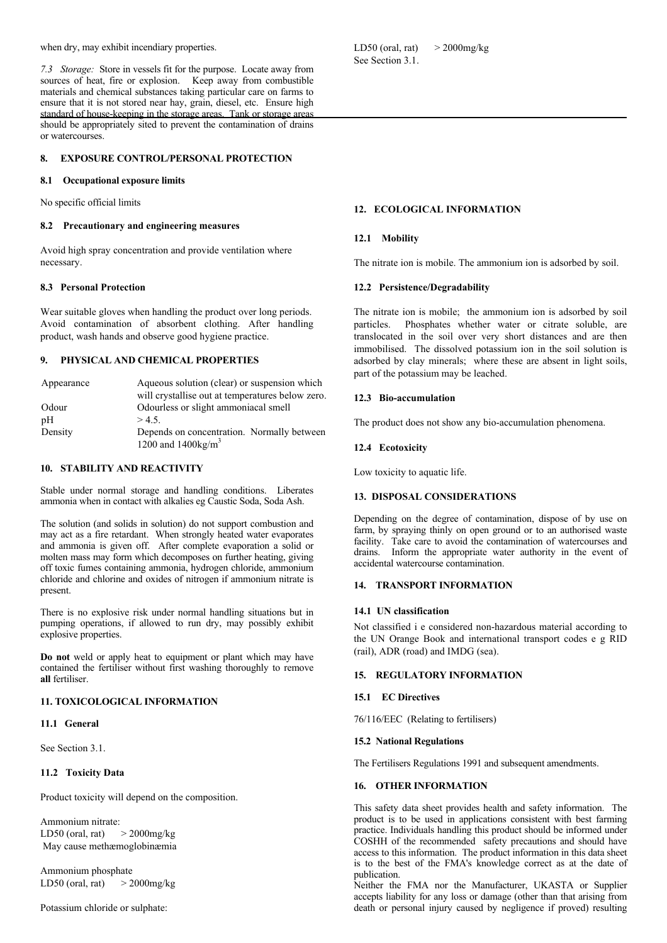when dry, may exhibit incendiary properties.

*7.3 Storage:* Store in vessels fit for the purpose. Locate away from sources of heat, fire or explosion. Keep away from combustible materials and chemical substances taking particular care on farms to ensure that it is not stored near hay, grain, diesel, etc. Ensure high standard of house-keeping in the storage areas. Tank or storage areas should be appropriately sited to prevent the contamination of drains or watercourses.

### **8. EXPOSURE CONTROL/PERSONAL PROTECTION**

#### **8.1 Occupational exposure limits**

No specific official limits

### **8.2 Precautionary and engineering measures**

Avoid high spray concentration and provide ventilation where necessary.

# **8.3 Personal Protection**

Wear suitable gloves when handling the product over long periods. Avoid contamination of absorbent clothing. After handling product, wash hands and observe good hygiene practice.

### **9. PHYSICAL AND CHEMICAL PROPERTIES**

| Appearance | Aqueous solution (clear) or suspension which     |
|------------|--------------------------------------------------|
|            | will crystallise out at temperatures below zero. |
| Odour      | Odourless or slight ammoniacal smell             |
| pH         | > 4.5                                            |
| Density    | Depends on concentration. Normally between       |
|            | 1200 and $1400 \text{kg/m}^3$                    |

### **10. STABILITY AND REACTIVITY**

Stable under normal storage and handling conditions. Liberates ammonia when in contact with alkalies eg Caustic Soda, Soda Ash.

The solution (and solids in solution) do not support combustion and may act as a fire retardant. When strongly heated water evaporates and ammonia is given off. After complete evaporation a solid or molten mass may form which decomposes on further heating, giving off toxic fumes containing ammonia, hydrogen chloride, ammonium chloride and chlorine and oxides of nitrogen if ammonium nitrate is present.

There is no explosive risk under normal handling situations but in pumping operations, if allowed to run dry, may possibly exhibit explosive properties.

**Do not** weld or apply heat to equipment or plant which may have contained the fertiliser without first washing thoroughly to remove **all** fertiliser.

# **11. TOXICOLOGICAL INFORMATION**

#### **11.1 General**

See Section 3.1.

## **11.2 Toxicity Data**

Product toxicity will depend on the composition.

Ammonium nitrate: LD50 (oral, rat)  $>$  2000mg/kg May cause methæmoglobinæmia

Ammonium phosphate LD50 (oral, rat)  $>$  2000mg/kg

Potassium chloride or sulphate:

LD50 (oral, rat)  $>$  2000mg/kg See Section 3.1.

### **12. ECOLOGICAL INFORMATION**

### **12.1 Mobility**

The nitrate ion is mobile. The ammonium ion is adsorbed by soil.

## **12.2 Persistence/Degradability**

The nitrate ion is mobile; the ammonium ion is adsorbed by soil particles. Phosphates whether water or citrate soluble, are translocated in the soil over very short distances and are then immobilised. The dissolved potassium ion in the soil solution is adsorbed by clay minerals; where these are absent in light soils, part of the potassium may be leached.

### **12.3 Bio-accumulation**

The product does not show any bio-accumulation phenomena.

## **12.4 Ecotoxicity**

Low toxicity to aquatic life.

## **13. DISPOSAL CONSIDERATIONS**

Depending on the degree of contamination, dispose of by use on farm, by spraying thinly on open ground or to an authorised waste facility. Take care to avoid the contamination of watercourses and drains. Inform the appropriate water authority in the event of accidental watercourse contamination.

# **14. TRANSPORT INFORMATION**

## **14.1 UN classification**

Not classified i e considered non-hazardous material according to the UN Orange Book and international transport codes e g RID (rail), ADR (road) and IMDG (sea).

## **15. REGULATORY INFORMATION**

#### **15.1 EC Directives**

76/116/EEC (Relating to fertilisers)

## **15.2 National Regulations**

The Fertilisers Regulations 1991 and subsequent amendments.

## **16. OTHER INFORMATION**

This safety data sheet provides health and safety information. The product is to be used in applications consistent with best farming practice. Individuals handling this product should be informed under COSHH of the recommended safety precautions and should have access to this information. The product information in this data sheet is to the best of the FMA's knowledge correct as at the date of publication.

Neither the FMA nor the Manufacturer, UKASTA or Supplier accepts liability for any loss or damage (other than that arising from death or personal injury caused by negligence if proved) resulting